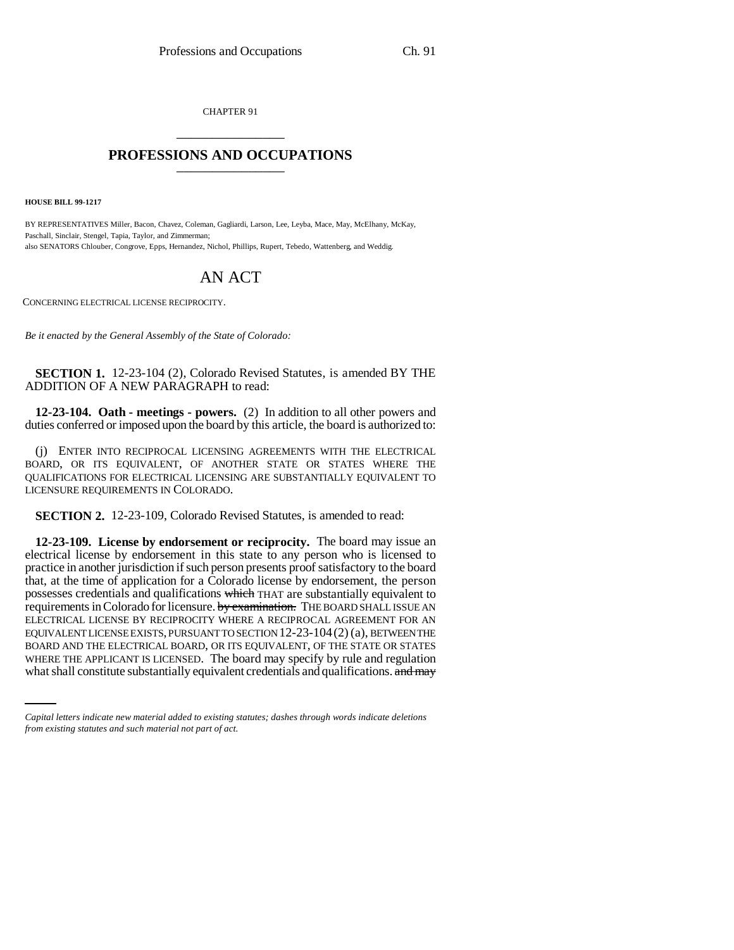CHAPTER 91 \_\_\_\_\_\_\_\_\_\_\_\_\_\_\_

## **PROFESSIONS AND OCCUPATIONS** \_\_\_\_\_\_\_\_\_\_\_\_\_\_\_

**HOUSE BILL 99-1217**

BY REPRESENTATIVES Miller, Bacon, Chavez, Coleman, Gagliardi, Larson, Lee, Leyba, Mace, May, McElhany, McKay, Paschall, Sinclair, Stengel, Tapia, Taylor, and Zimmerman; also SENATORS Chlouber, Congrove, Epps, Hernandez, Nichol, Phillips, Rupert, Tebedo, Wattenberg, and Weddig.

## AN ACT

CONCERNING ELECTRICAL LICENSE RECIPROCITY.

*Be it enacted by the General Assembly of the State of Colorado:*

**SECTION 1.** 12-23-104 (2), Colorado Revised Statutes, is amended BY THE ADDITION OF A NEW PARAGRAPH to read:

**12-23-104. Oath - meetings - powers.** (2) In addition to all other powers and duties conferred or imposed upon the board by this article, the board is authorized to:

(j) ENTER INTO RECIPROCAL LICENSING AGREEMENTS WITH THE ELECTRICAL BOARD, OR ITS EQUIVALENT, OF ANOTHER STATE OR STATES WHERE THE QUALIFICATIONS FOR ELECTRICAL LICENSING ARE SUBSTANTIALLY EQUIVALENT TO LICENSURE REQUIREMENTS IN COLORADO.

**SECTION 2.** 12-23-109, Colorado Revised Statutes, is amended to read:

BOARD AND THE ELECTRICAL BOARD, OR ITS EQUIVALENT, OF THE STATE OR STATES **12-23-109. License by endorsement or reciprocity.** The board may issue an electrical license by endorsement in this state to any person who is licensed to practice in another jurisdiction if such person presents proof satisfactory to the board that, at the time of application for a Colorado license by endorsement, the person possesses credentials and qualifications which THAT are substantially equivalent to requirements in Colorado for licensure. by examination. THE BOARD SHALL ISSUE AN ELECTRICAL LICENSE BY RECIPROCITY WHERE A RECIPROCAL AGREEMENT FOR AN EQUIVALENT LICENSE EXISTS, PURSUANT TO SECTION 12-23-104(2) (a), BETWEEN THE WHERE THE APPLICANT IS LICENSED. The board may specify by rule and regulation what shall constitute substantially equivalent credentials and qualifications. and may

*Capital letters indicate new material added to existing statutes; dashes through words indicate deletions from existing statutes and such material not part of act.*